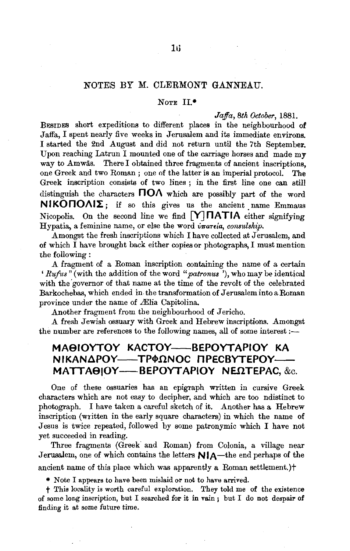### NOTES BY M. CLERMONT GANNEAU.

#### NOTE II.

*Ja.ffa, 8th October,* 1881.

BEsiDES short expeditions to different places in the neighbourhood of Jaffa, I spent nearly five weeks in Jerusalem and its immediate environs. I started the 2nd August and did not return until the 7th September. Upon reaching Latrun I mounted one of the carriage horses and made my way to Amwas. There I obtained three fragments of ancient inscriptions, one Greek and two Roman ; one of the latter is an imperial protocol. The Greek inscription consists of two lines ; in the first line one can still distinguish the characters  $\text{TOA}$  which are possibly part of the word  $NIKO<sub>I</sub> **OM**  $\Sigma$ ; if so this gives us the ancient name  $E<sub>mm</sub>$$ Nicopolis. On the second line we find  $\boxed{\mathsf{Y}}$  **NATIA** either signifying Hypatia, a feminine name, or else the word *inartia*, *consulship*.

Amongst the fresh inscriptions which I have collected at Jerusalem, and of which I have brought back either copies or photographs, I must mention the following :

A fragment of a Roman inscription containing the name of a certain 'Rufus<sup>"</sup>(with the addition of the word "patronus"), who may be identical with the'governor of that name at the time of the revolt of the celebrated Barkochebas, which ended in the transformation of Jerusalem into a Roman province under the name of Ælia Capitolina.

Another fragment from the neighbourhood of Jericho.

A fresh Jewish ossuary with Greek and Hebrew inscriptions. Amongst<br>the number are references to the following names, all of some interest :-

# **MA910YTOY KACTOY-BEPOYTAPIOY KA**  ΝΙΚΑΝΔΡΟΥ-TPΦΩΝΟC ΠΡΕCΒΥΤΕΡΟΥ-**MATTA910Y-BEPOYTAPIOY NEnTEPAC,** &c.

One of these ossuaries has an epigraph written in cursive Greek characters which are not easy to decipher, and which are too ndistinct to photograph. I have taken a careful sketch of it. Another has a Hebrew inscription (written in the early square characters) in which the name of Jesus is twice repeated, followed by some patronymic which I have not yet succeeded in reading.

Three fragments (Greek and Roman) from Colonia, a village near Jerusalem, one of which contains the letters  $N/A$ —the end perhaps of the ancient name of this place which was apparently a Roman settlement.)<sup>†</sup>

• Note I appears to have been mislaid or not to have arrived.

t This locality is worth careful exploration. They told me of the existence of some long inscription, but I searched for it in vain; but I do not despair of finding it at some future time.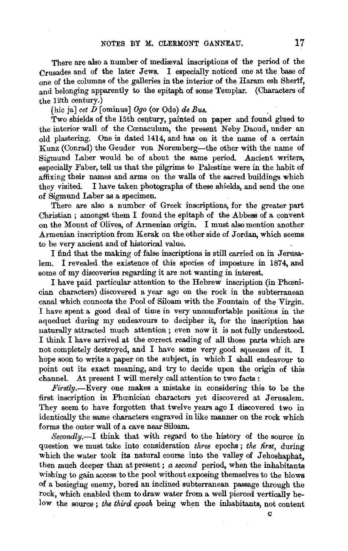There are also a number of mediaval inscriptions of the period of the Crusades and of the later Jews. I especially noticed one at the base of one of the columns of the galleries in the interior of the Haram esh Shertf, and belonging apparently to the epitaph of some Templar. (Characters of the 12th century.)

[hie ja] *cet D* [ominus] *Ogo* (or Odo) *de Bus.* .

Two shields of the 15th century, painted on paper and found glued to the interior wall of the Cœnaculum, the present Neby Daoud, under an old plastering. One is dated 1414, and has on it the name of a certain Kunz (Conrad) the Geuder von Noremberg-the other with the name of Sigmund Laber would be of about the same period. Ancient writers, especially Faber, tell us that the pilgrims to Palestine were in the habit of affixing their names and arms on the walls of the sacred buildings which they visited. I have taken photographs of these shields, and send the one of Sigmund Laber as a specimen.

There are also a number of Greek inscriptions, for the greater part Christian ; amongst them I found the epitaph of the Abbess of a convent on the Mount of Olives, of Armenian origin. I must also mention another Armenian inscription from Kerak on the other side of Jordan, which seems to be very ancient and of historical value.

I find that the making of false inscriptions is still carried on in Jerusalem. I revealed the existence of this species of imposture in 1874, and some of my discoveries regarding it are not wanting in interest.

I have paid particular attention to the Hebrew inscription (in Phœnician characters) discovered a year ago on the rock in the subterranean canal which connects the Pool of Siloam with the Fountain of the Virgin. I have spent a good deal of time in very uncomfortable positions in the aqueduct during my endeavours to decipher it, for the inscription has naturally attracted much attention ; even now it is not fully understood. I think I have arrived at the correct reading of all those parts which are not completely destroyed, and I have some very good squeezes of it. I hope soon to write a paper on the subject, in which I shall endeavour to point out its exact meaning, and *try* to decide upon the origin of this channel. At present I will merely call attention to two facts :

*Firstly.-Every* one makes a mistake in considering this to be the first inscription in Phamician characters yet discovered at Jerusalem. They seem to have forgotten that twelve years ago I discovered two in identically the same characters engraved in like manner on the rock which forms the outer wall of a cave near Siloam.

*Secondly.-!* think that with regard to the history of the source in question we must take into consideration *three* epochs ; *the first,* during which the water took its natural course into the valley of Jehoshaphat. then much deeper than at present ; *a second* period, when the inhabitants wishing to gain access to the pool without exposing themselves to the blows of a besieging enemy, bored an inclined subterranean passage through the rock, which enabled them to draw water from a well pierced vertically below the source; the third epoch being when the inhabitants, not content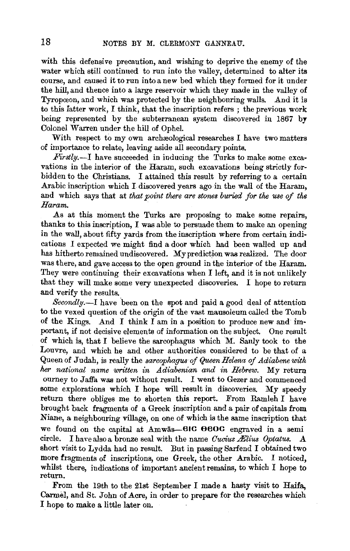with this defensive precaution, and wishing to deprive the enemy of the water which still continued to run into the valley, determined to alter its course, and caused it to run into a new bed which they formed for it under the hill, and thence into a large reservoir which they made in the valley of Tyropœon, and which was protected by the neighbouring walls. And it is to this Tatter work, I think, that the inscription refers ; the previous work being represented by the subterranean system discovered in 1867 by Colonel Warren under the hill of Ophel.

With respect to my own archaeological researches I have two matters of importance to relate, leaving aside all secondary points.

*Firstly.-!* have succeeded in inducing the Turks to make some excavations in the interior of the Haram, such excavations being strictly forbidden to the Christians. I attained this result by referring to a certain  $\frac{A}{A}$  . Are  $\frac{A}{A}$  in  $\frac{A}{A}$  is a statistic insert ago in the wall of the Haram, Arabic inscription which I discovered years ago in the wall of the Haram, and which says that at *that point there are stones buried for the use of the Haram .* 

.As at this moment the Turks are proposing to make some repairs, thanks to this inscription, I was able to persuade them to make an opening in the wall, about fifty yards from the inscription where from certain indications I expected we might find a door which had been walled up and has hitherto remained undiscovered. My prediction was realized. The door was there, and gave access to the open ground in the interior of the Haram. They were continuing their excavations when I left, and it is not unlikely that they will make some very unexpected discoveries. I hope to return and verify the results.

 $Secondly. -I$  have been on the spot and paid a good deal of attention to the vexed question of the origin of the vast mausoleum called the Tomb of the Kings. And I think  $I$  am in a position to produce new and important, if not decisive elements of information on the subject. One result of which is, that I believe the sarcophagus which M. Sauly took to the Louvre, and which he and other authorities considered to be that of a Queen of Judah, is really the *sarcophagus of Queen Helena of Adiabene with* her national name written in Adiabenian and in Hebrew. My return ourney to Jaffa was not without result. I went to Gezer and commenced some explorations which I hope will result in discoveries. My speedy return there obliges me to shorten this report. From Ramleh I have brought back fragments of a Greek inscription and a pair of capitals from Niane, a neighbouring village, on one of which is the same inscription that we found on the capital at Amwas-61C **eeoc** engraved in a semi circle. I have also a bronze seal with the name *Cucius Allius Optatus*. A short visit to Lydda had no result. But in passing Sarfend I obtained two more fragments of inscriptions, one Greek, the other Arabic. I noticed, which there, indications of important remains to which I hope to rust t<u>n</u><br>\*----From the 19th to the 21st September I made a hasty visit to Haifa,

Carmel, and St. John of Acre, in order to prepare for the researches which I hope to make a little later on.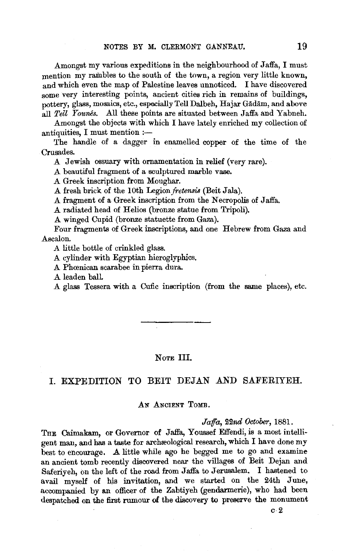Amongst my various expeditions in the neighbourhood of Jaffa, I must mention my rambles to the south of the town, a region very little known, and which even the map of Palestine leaves unnoticed. I have discovered some very interesting points, ancient cities rich in remains of buildings, pottery, glass, mosaics, etc., especially Tell Dalbeh, Ha jar Gadam, and above all *Tell Younes.* All these points are situated between Jaffa and Yabneh.

Amongst the objects with which I have lately enriched my collection of antiquities, I must mention  $:$ 

The handle of a dagger in enamelled copper of the time of the Crusades.

A Jewish ossuary with ornamentation in relief (very rare).

A beautiful fragment of a sculptured marble vase.

A Greek inscription from Moughar.

A fresh brick of the loth *Legionfretensis* (Beit Jala).

A fragment of a Greek inscription from the Necropolis of Jaffa.

A radiated head of Helios (bronze statue from Tripoli).

A winged Cupid (bronze statuette from Gaza).

Four fragments of Greek inscriptions, and one Hebrew from Gaza and Ascalon.

A little bottle of crinkled glass.

A cylinder with Egyptian hieroglyphics.

A Phcenican scarabee in pierra dura.

A leaden balL

A glass Tessera with a Cufic inscription (from the same places), etc.

### NOTE III.

## I. EXPEDITION TO BEIT DEJAN AND SAFERIYEH.

AN ANCIENT TOMB.

*Jaffa,* 22nd *October,* 1881.

 $c \cdot 2$ 

THE Caimakam, or Governor of Jaffa, Youssef Effendi, is a most intelligent man, and has a taste for archreological research, which I have done my best to encourage. *A* little while ago he begged me to go and examine an ancient tomb recently discovered near the villages of Beit Dejan and Saferiyeh, on the left of the road from Jaffa to Jerusalem. I hastened to avail myself of his invitation, and we started on the 24th June, accompanied by an officer of the Zabtiyeh (gendarmerie), who had been despatched on the first rumour of the discovery to preserve the monument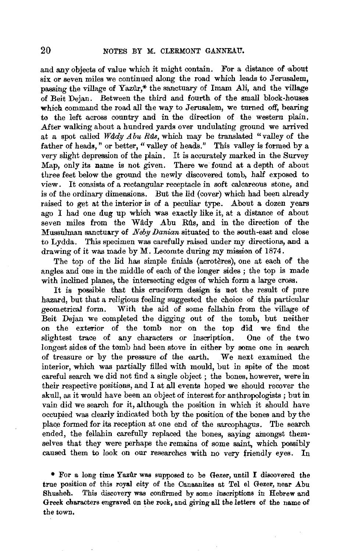and any objects of value which it might contain. For a distance of  $\alpha$ is any objects of value which it might contain. For a distance or about six or seven miles we continued along the road which leads to Jerusalem. passing the village of Yazûr,\* the sanctuary of Imam Ali, and the village of Beit Dejan. Between the third and fourth of the small block-houses which command the road all the way to Jerusalem, we turned off, bearing to the left across country and in the direction of the western plain. After walking about a hundred vards over undulating ground we arrived at a spot called Wady Abu Ras, which may be translated "valley of the father of heads," or better, "valley of heads." This valley is formed by a very slight depression of the plain. It is accurately marked in the Survey Map, only its name is not given. There we found at a depth of about three feet below the ground the newly discovered tomb, half exposed to view. It consists of a rectangular receptacle in soft calcareous stone. and is of the ordinary dimensions. But the lid (cover) which had been already raised to get at the interior is of a peculiar type. About a dozen years  $\mathbf{F}$  aged to get at the interior is of a peculiar type. About a dozen years shows that one dug up which was exactly like it, at a distance of about seven miles from the Wady Abu Rus, and in the direction of the Mussulman sanctuary of Neby Danian situated to the south-east and close to Lydda. This specimen was carefully raised under my directions, and a drawing of it was made by M. Lecomte during my mission of 1874.

The top of the lid has simple finials (acroteres), one at each of the angles and one in the middle of each of the longer sides; the top is made with inclined planes, the intersecting edges of which form a large cross.

It is possible that this cruciform design is not the result of pure hazard, but that a religious feeling suggested the choice of this particular geometrical form. With the aid of some fellahin from the village of With the aid of some fellahin from the village of Beit Dejan we completed the digging out of the tomb, but neither on the exterior of the tomb nor on the top did we find the slightest trace of any characters or inscription. One of the two slightest trace of any characters or inscription. longest sides of the tomb had been stove in either by some one in search of treasure or by the pressure of the earth. We next examined the interior, which was partially filled with mould, but in spite of the most careful search we did not find a single object : the bones, however, were in their respective positions, and I at all events hoped we should recover the skull, as it would have been an object of interest for anthropologists; but in vain did we search for it, although the position in which it should have poccupied was clearly indicated both by the position of the bones and by the place formed for its reception at one end of the sarcophagus. The search ended, the fellahin carefully replaced the bones, saving amongst themselves that they were perhaps the remains of some saint, which possibly caused them to look on our researches with no very friendly eyes. In

 $\mathbf{F} = \mathbf{F} \cdot \mathbf{F} \cdot \mathbf{F} = \mathbf{F} \cdot \mathbf{F} \cdot \mathbf{F} = \mathbf{F} \cdot \mathbf{F} \cdot \mathbf{F} \cdot \mathbf{F} = \mathbf{F} \cdot \mathbf{F} \cdot \mathbf{F} \cdot \mathbf{F} \cdot \mathbf{F} \cdot \mathbf{F} \cdot \mathbf{F} \cdot \mathbf{F} \cdot \mathbf{F} \cdot \mathbf{F} \cdot \mathbf{F} \cdot \mathbf{F} \cdot \mathbf{F} \cdot \mathbf{F} \cdot \mathbf{F} \cdot \mathbf{F} \cdot \mathbf{F} \cdot$ t for a long time Yazur was supposed to be Gezer, until I discovered the true position of this royal city of the Canaanites at Tel el Gezer, near Abu Shusheh. This discovery was confirmed by some inscriptions in Hebrew and Greek characters engraved on the rock, and giving all the letters of the name of the town.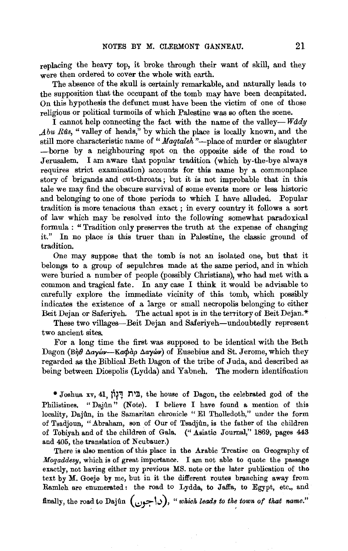replacing the heavy top, it broke through their want of skill, and they were then ordered to cover the whole with earth.

The absence of the skull is certainly remarkable, and naturally leads to the supposition that the occupant of the tomb may have been decapitated. On this hypothesis the defunct must have been the victim of one of those religious or political turmoils of which Palestine was so often the scene.

I cannot help connecting the fact with the name of the valley-*Wady Abu Rus*, " valley of heads," by which the place is locally known, and the still more characteristic name of "*Maqtaleh* "--place of murder or slaughter -borne by a neighbouring spot on the opposite side of the road to Jerusalem. I am aware that popular tradition (which by-the-bye always requires strict examination) accounts for this name by a commonplace story of brigands and cut-throats; but it is not improbable that in this tale we may find the obscure survival of some events more or less historic and belonging to one of those periods to which I have alluded. Popular tradition is more tenacious than exact ; in every country it follows a sort of law which may be resolved into the following somewhat paradoxical formula : "Tradition only preserves the truth at the expense of changing it." In no place is this truer than in Palestine, the classic ground of tradition.

One may suppose that the tomb is not an isolated one, but that it belongs to a group of sepulchres made at the same period, and in which were buried a number of people (possibly Christians), who had met with a common and tragical fate. In any case I think it would be advisable to carefully explore the immediate vicinity of this tomb, which possibly indicates the existence of a large or small necropolis belonging to either Beit Dejan or Saferiyeh. The actual spot is in the territory of Beit Dejan.\*

These two villages-Beit Dejan and Saferiyeh-undoubtedly represent two ancient sites.

For a long time the first was supposed to be identical with the Beth Dagon (Bη Δαγών--Καφάρ Δαγών) of Eusebius and St. Jerome, which they regarded as the Biblical Beth Dagon of the tribe of J uda, and described as being between Diospolis (Lydda) and Yabneh. The modern identification

 $\mathbf{F}$ : Joshua xv, 41, בית דגון the house of Dagon, the celebrated god of the Philistines. "Dajûn" (Note). I believe I have found a mention of this locality, Dajiln, in the Samaritan chronicle "El Tholledoth," under the form of Tsadjoun, "Abraham, son of Our of Tsadjûn, is the father of the children of Tobiyah and of the children of Gala. ("Asiatic Journal," 1869, pages 443 and 405, the translation of Neubauer.)

There is also mention of this place in the Arabic Treatise on Geography of *Moqaddesy,* which is of great importance. I am not able to quote the passage exactly, not having either my previous MS. note or the later publication of tho text by M. Goeje by me, but in it the different routes branching away from Ramleh are enumerated: the road to Lydda, to Jaffa, to Egypt, etc., and finally, the road to Dajûn (C) ~ (c) which *leads to the town of that name.*"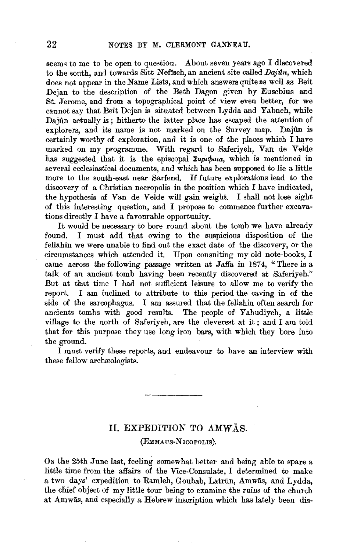seemg to me to be open to question. About seven years ago I discovered to the south, and towards Sitt Neffseh, an ancient site called *Dajun*, which does not appear in the Name Lists, and which answers quite as well as Beit Dejan to the description of the Beth Dagon given by Eusebius and St. Jerome, and from a topographical point of view even better, for we cannot say that Beit Dejan is situated between Lydda and Yabneh, while Dajún actually is; hitherto the latter place has escaped the attention of explorers, and its name is not marked on the Survey map. Dajûn is certainly worthy of exploration, and it is one of the places which I have marked on my programme. With regard to Saferiyeh, Van de Velde has suggested that it is the episcopal  $\Sigma_{\alpha\rho}$ *ibational* is mentioned in s suggestical documents, and which has been supposed to lie a little veral ecclesiastical documents, and which has been supposed to lie a little southmore to the south-east near Sarfend. If future explorations lead to the discovery of a Christian necropolis in the position which I have indicated, the hypothesis of Van de Velde will gain weight. I shall not lose sight of this interesting question, and I propose to commence further excavations directly I have a favourable opportunity. directly I have a favourable opportunity.<br>  $\frac{1}{2}$  and the necessary to bore round about the tomb we have already

found be necessary to pore round about the tomb we have already found. I must add that owing to the suspicious disposition of the fellahin we were unable to find out the exact date of the discovery, or the circumstances which attended it. Upon consulting my old note-books, I came across the following passage written at Jaffa in 1874, "There is a talk of an ancient tomb having been recently discovered at Saferiyeh."  $B$ ut at that time I had not sufficient leisure to allow me to victile report. It are not included to a this period the causal the causal the causal in order that can be called the caving in order the caving in order that can be called the caving in order that causal in order that can be call report. I am inclined to attribute to this period the caving in of the side of the sarcophagus. I am assured that the fellahin often search for ancients to the state of the people of the people of the people of Yahudiyeh, a little of Yahudiyeh, a little viellas comos with good results. The people of randolyen, a fittie that for the north of saferly end are the deverest at  $\mu$ ; and I am told at in this I must verify these reports, and endeavour to have an interview with

these verify these report

## II. EXPEDITION TO AMWAS. (EMMAUS-N ICOPOLIS).

ON the 25th June last, feeling somewhat better and being able to spare a lette time from the asset the consulate the Consulated to make  $\alpha$  and  $\alpha$  and  $\alpha$  make  $\alpha$ little time from the affairs of the Vice-Consulate, I determined to make a two days' expedition to Ramleh, Goubab, Latrūn, Amwās, and Lydda,  $t_{\rm w}$  chief object to mainten,  $t_{\rm w}$  church  $t_{\rm w}$  and  $t_{\rm w}$  and  $t_{\rm w}$  and  $t_{\rm w}$ e cher object of my little tour being to examine the ruins of the church<br>- American and consider the Hebrew instrument in the lately below in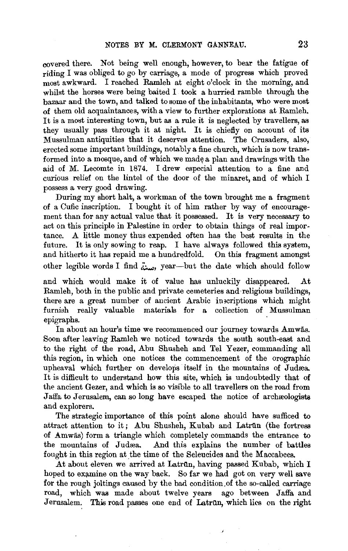covered there. Not being well enough, however, to bear the fatigue of riding I was obliged to go by carriage, a mode of progress which proved most awkward. I reached Ramleh at eight o'clock in the morning, and whilst the horses were being baited I. took a hurried ramble through the bazaar and the town, and talked to some of the inhabitants, who were most of them old acquaintances, with a view to further explorations at Ramleh. It is a most interesting town, but as a rule it is neglected by travellers, as they usually pass through it at night. It is chiefly on account of its Mussulman antiquities that it deserves attention. The Crusaders, also, erected some important buildings, notably a fine church, which is now transformed into a mosque, and of which we made a plan and drawings with the aid of M. Lecomte in 1874. I drew especial attention to a fine and curious relief on the lintel of the door of the minaret, and of which I possess a very good drawing.

During my short halt, a workman of the town brought me a fragment of a Cufic inscription. I bought it of him rather by way of encouragement than for any actual value that it possessed. It is very necessary to act on this principle in Palestine in order to obtain things of real importance. A little money thus expended often has the best results in the future. It is only sowing to reap. I have always followed this system, and hitherto it has repaid me a hundredfold. On this fragment amongst other legible words I find  $\ddot{\mathbf{a}}$ ..., year-but the date which should follow

and which would make it of value has unluckily disappeared. At Ramleh, both in the public and private cemeteries and religious buildings, there are a great number of aucient Arabic imcriptions which might furnish really valuable materials for a collection of Mussulman epigraphs.

In about an hour's time we recommenced our journey towards Amwas. Soon after leaving Ramleh we noticed towards the south south-east and to the right of the road, Abu Shusheh and Tel Yezer, commanding all this region, in which one notices the commencement of the orographic upheaval which further on develops itself in the mountains of Judæa. It is difficult to understand how this site, which is undoubtedly that of the ancient Gezer, and which is so visible to all travellers on the road from Jaffa to Jerusalem, can so long have escaped the notice of archaeologists and explorers.

The strategic importance of this point alone should have sufficed to attract attention to it; Abu Shusheh, Kubab and Latrun (the fortress of Amwas) form a triangle which completely commands the entrance to the mountains of Judæa. And this explains the number of battles fought in this region at the time of the Seleucides and the Maccabees.

At about eleven we arrived at Latrun, having passed Kubab, which I hoped to examine on the way back. So far we had got on very well save for the rough joltings caused by the bad condition.of the so-called carriage road, which was made about twelve years ago between Jaffa and Jerusalem. This road passes one end of Latrun, which lies on the right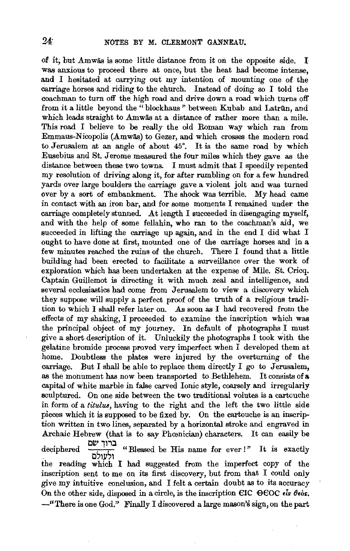of it; but Amwas is some little distance from it on the opposite side. I  $w_0$  but Alliwas is some fitting ustance from it on the opposite side. If as anxious to proceed there at once, but the neat had become intense, and I hesitated at carrying out my intention of mounting one of the carriage horses and riding to the church. Instead of doing so I told the coachman to turn off the high road and drive down a road which turns off from the little began it a little began and drive down a road which turns on<br>.... it a little began of the Chleel began " between Kubab and Latrice and which a little beyond the "blockhaus" between Equal and Latrun, and<br>Little leads straight to Amwiis at a distance of rather more than a mile. which leads straight to Amwas at a distance of rather more than a mile.<br>This road I believe to be really the old Roman way which ran from Emmaus-Nicopolis (Amwas) to Gezer, and which crosses the modern road momentum crosses the modern road  $\frac{1}{2}$  $\frac{1}{2}$  between the straight of about 40. It is the same foul by which  $\frac{1}{2}$ discords and st. Jerome measured the rour mnes which they gave as the distance between these two towns. I must admit that I speedily repented my resolution of driving along it, for after rumbling on for a few hundred yards over large boulders the carriage gave a violent jolt and was turned over by a sort of embankment. The shock was terrible. My head came in contact with an iron bar, and for some moments I remained under the contact with an from part, and for some moments I remained under the and with the help of some fellahing fellow  $\frac{1}{2}$  and  $\frac{1}{2}$ , which ranges for the coachman's aid, we refer to the coachman to the coachman to the coachman to the coachman to the coachman to the coachman to the coac  $\alpha$  with the time  $\alpha$  some remaining who ran to the coachinalis and, we oveeded in inting the carriage up again, and in the end I did what I ought to have done at first, mounted one of the carriage horses and in a few minutes reached the ruins of the church. There I found that a little  $\mathbf{b}$  building had been executed to facilitate a surveillance over the work of exploration which has been undertaken at the expense of Mile. St. Cricq. exploration which has been undertaken at the expense of Mlle. St. Cricq.<br>Captain Guillemot is directing it with much zeal and intelligence, and several ecclesiastics had come from Jerusalem to view a discovery which the suppose will supply a perfect proof of the truth of a religious tradithe suppose which i supply a perfect proof of the truth of a religious tradition to which I shall refer later on. As soon as I had recovered from the effects of my shaking, I proceeded to examine the inscription which was the principal object of my journey. In default of photographs I must give a short description of it. Unlucking the photographs I took with the photographs I took with the photographs I took with the photographs I took with the photographs I took with the photographs I took with the photogra ve a short description of it. Unincking the photographs I took when the gelatine bromide process proved very imperfect when I developed them at home. Doubtless the plates were injured by the overturning of the me. Boutous the praces were injured by the overturning of the<br>priage. But I shall be able to replace them directly I go to Jerusalem, as the monument has now been transported to Bethlehem. It consists of a capital of white marble in false carved Ionic style, coarsely and irregularly sculptured. On one side between the two traditional volutes is a cartouche in form of a *titulus in the right and the right and the left* the two little side. port of a *tudius*, having to the right and the felt the two fitties side the stroke in two lines, separated by a horizontal stroke and engraved in<br>
the stroke and engraved in the same of the same of the same of the same of the same of the same of the same of Archaic Hebrew (that is to say Phonician) characters. It can easily be<br>deciphered  $\frac{D(T+1)}{D(T+1)}$  "Blessed be His name for ever!" It is exactly

the reading which I had suggested from the imperfect copy of the e reading which I had suggested from the imperient copy of the  $\frac{1}{2}$  given  $\frac{1}{2}$  for  $\frac{1}{2}$  felt a certain doubt as to its accuracy give my intuitive conclusion, and I felt a certain doubt as to its accuracy On the other side, disposed in a circle, is the inscription  $EIC$   $\Theta$  $EOC$   $\epsilon$ *s*  $\theta$ *es*<sub>*s*</sub>.  $-$ "There is one God." Finally I discovered a large mason's sign, on the part

24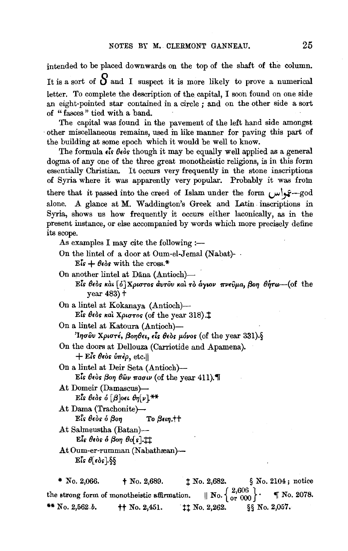intended to be placed downwards on the top of the shaft of the column. It is a sort of  $S$  and I suspect it is more likely to prove a numerical letter. To complete the description of the capital, I soon found on one side an eight-pointed star contained in a circle ; and on the other side a sort of " fasces " tied with a band.

The capital was found in the pavement of the left hand side amongst other miscellaneous remains, used in like manner for paving this part of the building at some epoch which it would be well to know.

The formula  $\epsilon \tilde{k}$   $\theta \epsilon \tilde{\phi} s$  though it may be equally well applied as a general dogma of any one of the three great monotheistic religions, is in this form essentially Christian. It occurs very frequently in the stone inscriptions of Syria where it was apparently very popular. Probably it was froin there that it passed into the creed of Islam under the form  $w$  '  $\sim$ god alone. A glance at M. Waddington's Greek and Latin inscriptions in Syria, shows us how frequently it occurs either laconically, as in the present instance, or else accompanied by words which more precisely define its scope.

As examples I may cite the following  $:$ --

On the lintel of a door at Oum-el-Jemal (Nabat)-<br>  $\mathbf{E}^T \mathbf{s} + \theta \epsilon \mathbf{\hat{e}}$  with the cross.\*

On another lintel at Dāna (Antioch)-

Els *θε*όs και [o] Χριστοs αυτου και το άγιον πνεύμα, βοη θήτω -- (of the year 483) +

On a lintel at Kokanaya (Antioch)-Eis  $\theta$ *<sub>E</sub>* $\theta$ *k* $\theta$ *s kal* X $\rho$ *u* $\sigma$ *ros* (of the year 318).<sup> $\uparrow$ </sup>

On a lintel at Katoura (Antioch)-'Iησου Χριστέ, βοηθει, είς θεὸς μόνος (of the year 331).§

- On the doors at Dellouza (Carriotide and Apamena).  $+$  *Els*  $\theta$ *còs vnèp*, etc.||
- On a lintel at Deir Seta (Antioch)- Eis θεός βοη θών πασιν (of the year 411).

At Domeir (Damascus)-

*Ets*  $\theta$ *εός ό* [ $\beta$ ]*oει*  $\theta$ *η*[ $\nu$ ]. \*\*

At Dama (Trachonite)-

*Els θε*ός ό βοη Το βειη.tt

At Salmeustha (Batan)-

Els  $\theta$ eòs ó  $\beta$ on  $\theta$ o[s]. $\pm\pm$ 

At Oum-er-rumman (Nabathæan)- $E$ *is*  $\theta$ [  $\epsilon$ *os*].§§

\* No. 2,066. t No. 2,689. *t* No. 2,682. §No. 2104; notice the strong form of monotheistic affirmation.  $\parallel$  No.  $\left\{\n\begin{array}{l}\n2,606 \\
\text{m} \\
1,600\n\end{array}\n\right\}$  ·  $\parallel$  No. 2078.  $*$ No. 2,562.b.  $*$  t No. 2,451.  $*$  No. 2,262. §§No. 2,057.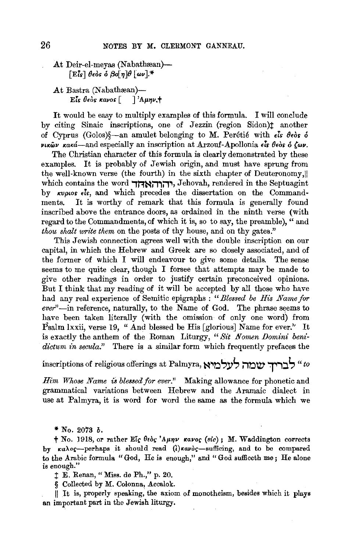At Deir-el-meyas (Nabathæan)- $\lceil$ Els]  $\theta$ eòs ó  $\beta$ o $\lceil \eta \rceil \theta$   $\lceil \omega \nu \rceil$ .\*

At Bastra (Nabathæan)-**Είς θεὸς κανος** [ ] 'Αμην.+

It would be easy to multiply examples of this formula. I will conclude by citing Sinaic inscriptions, one of Jezzin (region Sidon): another of Cyprus (Golos) $\delta$ -an amulet belonging to M. Peretie with  $\epsilon$ is  $\theta$  $\epsilon$ os of *vikev kaka-and especially an inscription at Arzouf-Apollonia*  $\epsilon$ *is*  $\theta$  $\epsilon$ *òs o*  $\zeta \omega$ *v.* 

The Christian character of this formula is clearly demonstrated by these examples. It is probably of Jewish origin, and must have sprung from the well-known verse (the fourth) in the sixth chapter of Deuteronomy, || which contains the word ירוראדור, Jehovah, rendered in the Septuagint by *ruptos els*, and which precedes the dissertation on the Commandments. It is worthy of remark that this formula is generally found inscribed above the entrance doors, as ordained in the ninth verse (with regard to the Commandments, of which it is, so to say, the preamble), "and *thou shalt write them* on the posts of thy house, and on thy gates."

This Jewish connection agrees well with the double inscription on our capital, in which the Hebrew and Greek are so closely associated, and of the former of which I will endeavour to give some details. The sense seems to me quite clear, though I forsee that attempts may be made to give other readings in order to justify certain preconceived opinions. But I think that my reading of it will be accepted by all those who have had any real experience of Semitic epigraphs : *"Blessed be His Name for*  ever<sup>"</sup>-in reference, naturally, to the Name of God. The phrase seems to have been taken literally (with the omission of only one word) from Psalm lxxii, verse 19, "And blessed be His [glorious] Name for ever.'' It is exactly the anthem of the Roman Liturgy, "Sit Nomen Domini beni*dictum in secula."* There is a similar form which frequently prefaces the

inscriptions of religious offerings at Palmyra, ~.,O':ll'', 110~ **,.,..,:J.t,** *"to* 

*Him Whose Name is blessed for ever."* Making allowance for phonetic and grammatical variations between Hebrew and the Aramaic dialect in use at Palmyra, it is word for word the same as the formula which we

\*No. 2073 *b.* 

† No. 1918, or rather Είς θεός 'Αμην κανος (sic); M. Waddington corrects by  $\kappa a \lambda o$ c-perhaps it should read (i) $\kappa a \nu o$ c-sufficing, and to be compared to the Arabic formula "God, He is enough," and "God sufliceth me; He alone is enough."

:1: E. Renan, "Miss. de Ph.," p. 20.

§ Collected by M. Colonna, Accalok.

11 It is, properly speaking, the axiom of monotheism, besides which it plays an important part in the Jewish liturgy.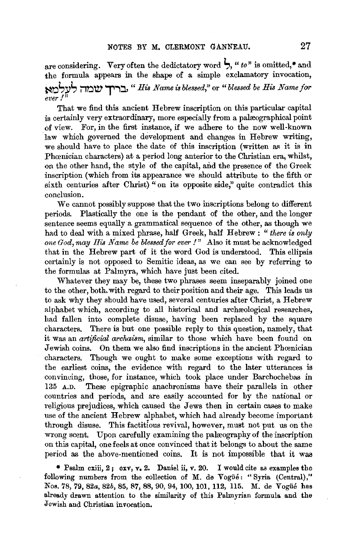are considering. Very often the dedictatory word **i,,** " *to"* is omitted, • and the formula appears in the shape of a simple exclamatory invocation, ~t)i,yi, **iltlW' ,.,:J,** *"His Name* is *blessed,"* or *"blessed be His Name for ever!"* 

That we find this ancient Hebrew inscription on this particular capital is certainly very extraordinary, more especially from a palreographical point of view. For, in the first instance, if we adhere to the now well-known law which governed the development and changes in Hebrew writing, we should have to place the date of this inscription (written as it is in Phoenician characters) at a period long anterior to the Christian era, whilst, on the other hand, the style of the capital, and the presence of the Greek inscription (which from its appearance we should attribute to the fifth or sixth centuries after Christ) " on its opposite side," quite contradict this conclusion.

We cannot possibly suppose that the two inscriptions belong to different periods. Plastically the one is the pendant of the other, and the longer sentence seems equally a grammatical sequence of the other, as though we had to deal with a mixed phrase, half Greek, half Hebrew : " *there is only one God, may His Name be blessed for ever I* " Also it must be acknowledged that in the Hebrew part of it the word God is understood. This ellipsis certainly is not opposed to Semitic ideas, as we can see by referring to the formulas at Palmyra, which have just been cited.

Whatever they may be, these two phrases seem inseparably joined one to the other, both. with regard to their position and their age. This leads us to ask why they should have used, several centuries after Christ, a Hebrew alphabet which, according to all historical and archreological researches, had fallen into complete disuse, having been replaced by the square characters. There is but one possible reply to this question, namely, that it was an *artificial archaism,* similar to those which have been found on Jewish coins. On them we also find inscriptions in the ancient Phœnician characters. Though we ought to make some exceptions with regard to the earliest coins, the evidence with regard to the later utterances is convincing, those, for instance, which took place under Barchochebas in 135 A.D. These epigraphic anachronisms have their parallels in other countries and periods, and are easily accounted for by the national or religious prejudices, which caused the Jews then in certain cases to make use of the ancient Hebrew alphabet, which had already become important through disuse. This factitious revival, however, must not put us on the wrong scent. Upon carefully examining the palreography of the inscription on this capital, one feeis at once convinced that it belongs to about the same period as the above-mentioned coins. It is not impossible that it was

\* Psalm cxiii, 2;  $\alpha x \overline{v}$ ,  $\overline{v}$ , 2. Daniel ii,  $\overline{v}$ . 20. I would cite as examples the following numbers from the collection of M. de Vogüé: "Syria (Central)," Nos. 78, 79, *82a, 82b,* 85, 87, 88, 90, 94, 100, 101, 112, 115. M. de Vogue has already drawn attention to the similarity of this Palmyrian formula and the Jewish and Christian invocation.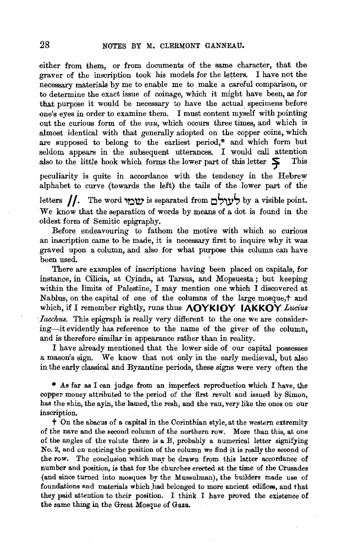either from them, or from documents of the same character, that the graver of the inscription took his models for the letters. I have not the necessary materials by me to enable me to make a careful comparison, or to determine the exact issue of coinage, which it might have been, as for that purpose it would be necessary to have the actual\_ specimens before one's eyes in order to examine them. I must content myself with pointing out the curious form of the *vau,* which occurs three times, and which is almost identical with that generally adopted on the copper coins, which are supposed to belong to the earliest period,\* and which form but seldom appears in the subsequent utterances. I would call attention also to the little hook which forms the lower part of this letter  $\boldsymbol{\leq}$  This

peculiarity is quite in accordance with the tendency in the Hebrew alphabet to curve (towards the left) the tails of the lower part of the

letters *II*. The word *י*עולם is separated from **objection** by a visible point. We know that the separation of words by means of a dot is found in the oldest form of Semitic epigraphy.

Before endeavouring to fathom the motive with which so curious an inscription came to be made, it is necessary first to inquire why it was raved upon a column and also for what purpose this column can have  $\Phi$ een used.  $\Phi$ been used.<br>There are examples of inscriptions having been placed on capitals, for

instance, in Cilicia, at Cyinda, at Tarsus, and Mopsuesta ; but keeping within the limits of Palestine, I may mention one which I discovered at Nablus, on the capital of one of the columns of the large mosque,<sup>†</sup> and which, if I remember rightly, runs thus **1OYKIOY IAKKOY** Lucius *1acchus.* This epigraph is really very different to the one we are considering-it evidently has reference to the name of the giver of the column, and is therefore similar in appearance rather than in reality.

I have already mentioned that the lower side of our capital possesses a mason's sign. We know that not only in the early medieval, but also in the early classical and Byzantine periods, these signs were very often the

• As far as I can judge from an imperfect reproduction which I have, the copper money attributed to the period of the first revolt and issued by Simon, has the shin, the ayin, the lamed, the resh, and the vau, very like the ones on our inscription.

 $\dagger$  On the abacus of a capital in the Corinthian style, at the western extremity of the nave and the second column of the northern row. More than this, at one of the angles of the volute there is aB, probably a numerical letter signifying No. 2, and on noticing the position of the column we find it is really the second of the row. The conclusion which mav be drawn from this latter accordance of number and position, is that for the churches erected at the time of the Crusades (and since turned into mosques by the Mussulman), the builders made use of foundations and materials which had belonged to more ancient edifices, and that they paid attention to their position. I think I have proved the existence of the same thing in the Great Mosque of Gaza.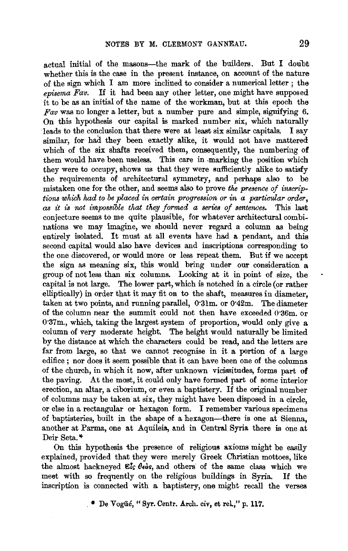actual initial of the masons-the mark of the builders. But I doubt whether this is the case in the present instance, on account of the nature of the sign which I am more inclined to consider a numerical letter ; the *episema Fav.* If it had been any other letter, one might have supposed it to be as an initial of the name of the workman, but at this epoch the *Fav* was no longer a letter, but a number pure and simple, signifying 6. On this hypothesis our capital is marked number six, which naturally leads to the conclusion that there were at least six similar capitals. I say similar, for had they been exactly alike, it would not have mattered which of the six shafts received them, consequently, the numbering of them would have been useless. This care in .marking the position which they were to occupy, shows us that they were sufficiently alike to satisfy the requirements of architectural symmetry, and perhaps also to be mistaken one for the other, and seems also to prove *the presence of inscriptions which had to be placed in aertain progression or* in *a particular order, as it is not imposst'ble that the,y formed a series of sentences.* This last conjecture seems to me quite plausible, for whatever architectural combinations we may imagine, we should never regard a column as being entirely isolated. It must at all events have had a pendant, and this second capital would also have devices and inscriptions corresponding to the one discovered, or would more or less repeat them. But if we accept the sign as meaning six, this would bring under our consideration a group of not less than six columns. Looking at it in point of size, the capital is not large. The lower part, which is notched in a circle (or rather elliptically) in order that it may fit on to the shaft, measures in diameter, taken at two points, and running parallel, 0'3lm. or 0'42m. The diameter of the column near the summit could not then have exceeded.0'36m. or 0'37m., which, taking the largest system of proportion, would only give a column of very moderate height. The height would naturally be limited by the distance at which the characters could be read, and the letters are far from large, so that we cannot recognise in it a portion of a large edifice ; nor does it seem possible that it can have been one of the columns of the church, in which it now, after unknown vicissitudes, forms part of the paving. At the most, it could only have formed part of some interior erection, an altar, a ciborium, or even a baptistery. If the original number of columns may be taken at six, they might have been disposed in a circle, or else in a rectangular or hexagon form. I remember various specimens of baptisteries, built in the shape of a hexagon-there is one at Sienna, another at Parma, one at Aquileia, and in Central Syria there is one at Deir Seta.\*

On this hypothesis the presence of religious axioms might be easily explained, provided that they were merely Greek Christian mottoes, like the almost hackneyed  $\mathbf{E}$ tc  $\theta$ <sub>c</sub>os, and others of the same class which we meet with so frequently on the religious buildings in Syria. If the inscription is connected with a baptistery, one might recall the verses

. • De Vogiie, "Syr. Centr. Arch. civ, et rel," p. 117.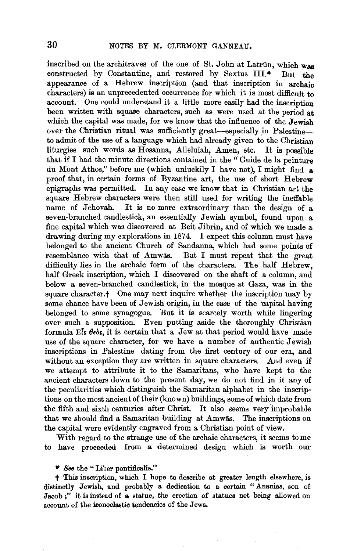inscribed on the architraves of the one of St. John at Latrun, which was constructed by Constantine, and restored by Sextus III.\* But the appearance of a Hebrew inscription (and that inscription in archaic characters) is an unprecedented occurrence for which it is most difficult to account. One could understand it a little more easily had the inscription been written with square characters, such as were used at the period at which the capital was made, for we know that the influence of the Jewish over the Christian ritual was sufficiently great-especially in Palestineto admit of the use of a language which had already given to the Christian liturgies such words as Hosanna, Alleluiah, Amen, etc. It is possible that if I had the minute directions contained in the " Guide de la peinture du Mont Athos," before me (which unluckily I have not), I might find a proof that, in certain forms of Byzantine art, the use of short Hebrew epigraphs was permitted. In any case we know that in Christian art the square Hebrew characters were then still used for writing the ineffable name of Jehovah. It is no more extraordinary than the design of a seven-branched candlestick, an essentially Jewish symbol, found upon a fine capital which was discovered at Beit Jibrin, and of which we made a drawing during my explorations in 1874. I expect this column must have belonged to the ancient Church of Sandanna, which had some points of resemblance with that of Amwas. But I must repeat that the great difficulty lies in the archaic form of the characters. The half Hebrew, half Greek inscription, which I discovered on the shaft of a column, and below a seven-branched candlestick, in the mosque at Gaza, was in the square character.<sup>†</sup> One may next inquire whether the inscription may by some chance have been of Jewish origin, in the case of the 'capital having' belonged to some synagogue. But it is scarcely worth while lingering over such a supposition. Even putting aside the thoroughly Christian formula  $E$ *is*  $\theta$ *eos,* it is certain that a Jew at that period would have made use of the square character, for we have a number of authentic Jewish inscriptions in Palestine dating from the first century of our era, and without an exception they are written in square characters. And even if we attempt to attribute it to the Samaritans, who have kept to the ancient characters doWn to the present day, we do not find in it any of the peculiarities which distinguish the Samaritan alphabet in the inscriptions on the most ancient of their (known) buildings, some of which date from the fifth and sixth centuries after Christ. It also seems very improbable that we should find a Samaritan building at Amwas. The inscriptions on the capital were evidently engraved from a Christian point of view.

With regard to the strange use of the archaic characters, it seems to me to have proceeded from a determined design which is worth our

• *See* the " Liber pontificalis."

**t** This inscription, which I hope to describe at greater length elsewhere, is distinctly Jewish, and probably a dedication to a certain "Ananias, son of Jacob ;" it is instead of a. statue, the erection of statues not being allowed on uccount of the iconoclastic tendencies of the Jews.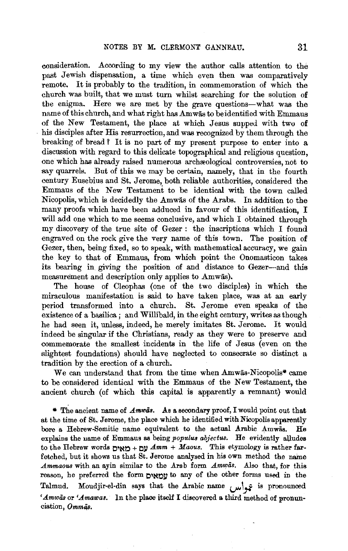consideration. According to my view the author calls attention to the past Jewish dispensation, a time which even then was comparatively remote. It is probably to the tradition, in commemoration of which the church was built, that we must turn whilst searching for the solution of the enigma. Here we are met by the grave questions-what was the name of this church, and what right has Am was to be identified with Emmaus of the New Testament, the place at which Jesus supped with two of his disciples after His resurrection, and was recognized by them through the breaking of bread? It is no part of my present purpose to enter into a discussion with regard to this delicate topographical and religious question, one which has already raised numerous archreological controversies, not to say quarrels. But of this we may be certain, namely, that in the fourth century Eusebius and St. Jerome, both reliable authorities, considered the Emmaus of the New Testament to be identical with the town called Nicopolis, which is decidedly the Amwas of the Arabs. In addition to the many proofs which have been adduced in favour of this identification, I will add one which to me seems conclusive, and which I obtained through my discovery of the true site of Gezer : the inscriptions which I found engraved on the rock give the very name of this town. The position of Gezer, then, being fixed, so to speak, with mathematical accuracy, we gain the key to that of Emmaus, from which point the Onomasticon takes its bearing in giving the position of and distance to Gezer-and this measurement and description only applies to Amwas).

The house of Cleophas (one of the two disciples) in which the miraculous manifestation is said to have taken place, was at an early period transformed into a church. St. Jerome even speaks of the existence of a basilica; and Willibald, in the eight century, writes as though he had seen it, unless, indeed, he merely imitates St. Jerome. It would indeed be singular if the Christians, ready as they were to preserve and commemorate the smallest incidents in the life of Jesus (even on the slightest foundations) should have neglected to consecrate so distinct a tradition by the erection of a church.

We can understand that from the time when Amwas-Nicopolis<sup>\*</sup> came to be considered identical with the Emmaus of the New Testament, the ancient church (of which this capital is apparently a remnant) would

\* The ancient name of *Amwas*. As a secondary proof, I would point out that at the time of St. Jerome, the place which he identified with Nicopolis apparently bore a Hebrew-Semitic name equivalent to the actual Arabic Amwas. He explains the name of Emmaus as being *populus abjectus.* He evidently alludes to the Hebrew words 0'Nr.l + Cl/ *A.mm* + *Maous.* This etymology is rather far. fetched, but it shows us that St. Jerome analysed in his own method the name *Ammaous* with an ayin similar to the Arab form *Amwas*. Also that, for this reason, he preferred the form ומאים to any of the other forms used in the Talmud. Moudjir-el-din says that the Arabic name liN *\\_,i* is prooounced *'Amwiis* or *'Amawas.* In the place itself I discovered a. third method of pronunciation, Ommās.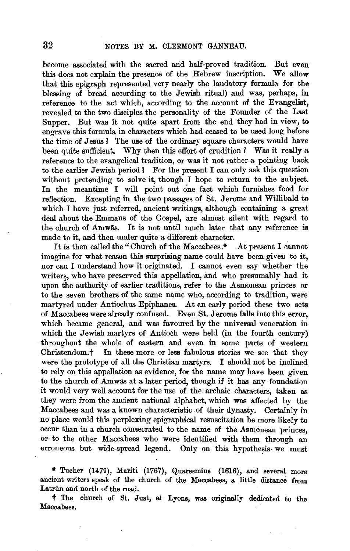become associated with the sacred and half-proved tradition. But even this does not explain the presence of the Hebrew inscription. We allow that this epigraph represented very nearly the laudatory formula for the blessing of bread according to the Jewish ritual) and was, perhaps, in reference to the act which, according to the account of the Evangelist, revealed to the two disciples the personality of the Founder of the Last Supper. But was it not quite apart from the end they had in view, to engrave this formula in characters which had ceased to be used long before the time of Jesus ? The use of the ordinary square characters would have been quite sufficient. Why then this effort of erudition ? Was it really a reference to the evangelical tradition, or was it not rather a pointing back to the earlier Jewish period ? For the present I can only ask this question without pretending to solve it, though I hope to return to the subject. In the meantime I will point out one fact which furnishes food for reflection. Excepting in the two passages of St. Jerome and Willibald to which I have just referred, ancient writings, although containing a great deal about the Emmaus of the Gospel, are almost silent with regard to the church of Amwas. It is not until much later that any reference is made to it, and then under quite a different character.

It is then called the "Church of the Maccabees.\* At present I cannot imagine for what reason this surprising name could have been given to it, nor can I understand how it originated. I cannot even say whether the writers, who have preserved this appellation, and who presumably had it upon the authority of earlier traditions, refer to the Asmonean princes or to the seven brothers of the same name who, according to tradition, were martyred under Antiochus Epiphanes. At an early period these two sets of Maccabees were already confused. Even St. Jerome falls into this error, which became geaeral, and was favoured by the universal veneration in which the Jewish martyrs of Antioch were held (in the fourth century) throughout the whole of eastern and even in some parts of western Christendom.<sup>+</sup> In these more or less fabulous stories we see that they were the prototype of all the Christiau martyrs. I should not be inclined to rely on this appellation as evidence, for the name may have been given to the church of Amwas at a later period, though if it has any foundation it would very well account for the use of the archaic characters, taken as they were from the ancient national alphabet, which was affected by the Maccabees and was a known characteristic of their dynasty. Certainly in no place would this perplexing epigraphical resuscitation be more likely to occur than in a church consecrated to the name of the Asmonean princes. or to the other Maccabees who were identified with them through an erroneous but wide-spread legend. Only on this hypothesis· we must

• Tucher (1479), Mariti (1767), Quaresmius (1616), and several more ancient writers speak of the church of the Maccabees, a little distance from Latrun and north of the road.

t The church of St. Just, at Lyons, was originally dedicated to the Maccabees.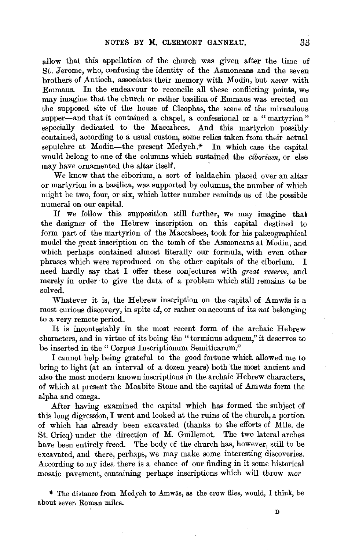allow that this appellation of the church was given after the time of St. Jerome, who, confusing the identity of the Asmoneans and the seven. brothers of Antioch, associates their memory with Modin, but *never* with Emmaus. In the endeavour to reconcile all these conflicting points, we may imagine that the church or rather basilica of Emmaus was erected on the supposed site of the house of Cleophas, the scene of the miraculous supper-and that it contained a chapel, a confessional or a "martyrion" especially dedicated to the Maccabees. And this martyrion possibly contained, according to a usual custom, some relics taken from their actual sepulchre at Modin-the present Medyeh.\* In which case the capital would belong to one of the columns which sustained the *ciborium,* or else may have ornamented the altar itself.

We know that the ciborium, a sort of baldachin placed over an altav or martyrion in a basilica, was supported by columns, the number of which might be two, four, or six, which latter number reminds us of the possible numeral on our capital.

If we follow this supposition still further, we may imagine that the designer of the Hebrew inscription on this capital destined to form part of the martyrion of the Maccabees, took for his palreographical model the great inscription on the tomb of the Asmoneans at Modin, and which perhaps contained almost literally our formula, with even other phrases which were reproduced on the other capitals of the ciborium. I need hardly say that I offer these conjectures with *great reserve,* and merely in order to give the data of a problem which still remains to be solved,

Whatever it is, the Hebrew inscription on the capital of Amwas is a most curious discovery, in spite of, or rather on account of its *not* belonging to a very remote period..

It is incontestably in the most recent form of the archaic Hebrew characters, and in virtue of its being the "terminus adquem," it deserves to be inserted in the " Corpus Inscriptionum Semiticarum."

I cannot help being grateful to the good fortune which allowed me to bring to light (at an interval of a dozen years) both the most ancient and also the most modern known inscriptions in the archaic Hebrew characters, of which at present the Moabite Stone and the capital of Amwas form the alpha and omega.

After having examined the capital which has formed the subject of this long digression, I went and looked at the ruins of the church, a portion of which has already been excavated (thanks to the efforts of Mlle. de St. Cricq) under the direction of M. Guillemot. The two lateral arches have been entirely freed. The body of the church has, however, still to be excavated, and there, perhaps, we may make some interesting discoveries. According to my idea there is a chance of our finding in it some historical mosaic pavement, containing perhaps inscriptions which will throw *mor* 

\* The distance from Medyeh to Amwiis, as the crow flies, would, I think, be about seven Roman miles.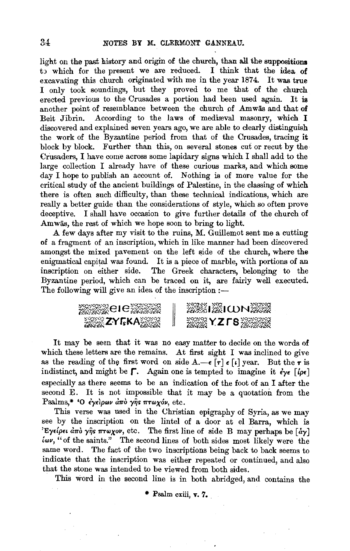light on the past history and origin of the church, than all the suppositions to which for the present we are reduced. I think that the idea of excavating this church originated with me in the year 1874. It was true I only took soundings, but they proved to me that of the church erected previous to the Crusades a portion had been used again. It is another point of resemblance between the church of Amwas and that of Beit Jibrin. According to the laws of medireval masonry, which I discovered and explained seven years ago, we are able to clearly distinguish the work of the Byzantine period from that of the Crusades, tracing it block by block. Further than this, on several stones cut or recut by the Crusaders, I have come across some lapidary signs which I shall add to the large collection I already have of these curious marks, and which some day I hope to publish an account of. Nothing is of more value for the critical study of the ancient buildings of Palestine, in the classing of which there is often such difficulty, than these technical indications, which are really a better guide than the considerations of style, which so often prove deceptive. I shall have occasion to give further details of the church of Amwas, the rest of which we hope soon to bring to light.

A few days after my visit to the ruins, M. Guillemot sent me a cutting of a fragment of an inscription, which in like manner had been discovered amongst the mixed pavement on the left side of the church, where the enigmatical capital was found. It is a piece of marble, with portions of an inscription on either side. The Greek characters, belonging to the Byzantine period, which can be traced on it, are fairly well executed. The following will give an idea of the inscription  $:$ 



It may be seen that it was no easy matter to decide on the words of which these letters are the remains. At first sight I was inclined to give as the reading of the first word on side  $A_{\cdot}$  *(r)*  $\epsilon$  *[i]* year. But the *r* is indistinct, and might be  $\Gamma$ . Again one is tempted to imagine it  $\epsilon_{\gamma\epsilon}$  [ $\ell_{\rho\epsilon}$ ] especially as there seems to be an indication of the foot of an I after the second E. It is not impossible that it may be a quotation from the Psalms,\* 'Ο έχειρων από γης πτωχόν, etc.

This verse was used in the Christian epigraphy of Syria, as we may see by the inscription on the lintel of a door at el Barra, which is <sup>2</sup> Εγείρει άπὸ γῆs πτωχον, etc. The first line of side B may perhaps be  $\lceil a\mathbf{v}\rceil$ *loov,* "of the saints." The second lines of both sides most likely were the same word. The fact of the two inscriptions being back to back seems to indicate that the inscription was either repeated or continued, and also that the stone was intended to be viewed from both sides.

This word in the second line is in both abridged, and contains the

• Psalm cxiii, v. 7.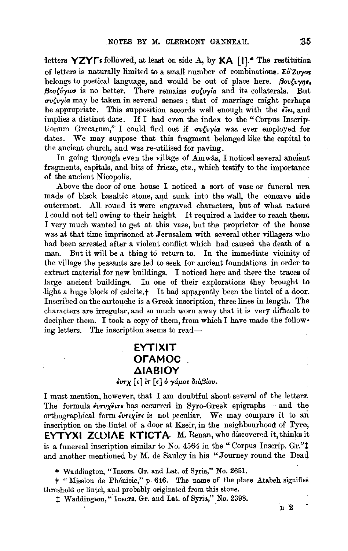letters **YZYFs** followed, at least on side A, by KA [1].\* The restitution of letters is naturally limited to a small number of combinations. EUZvyor belongs to poetical language, and would be out of place here. *flootyns*, *fJov(i"ywv* is no better. There remains *uv(vyia* and its collaterals. But  $\sigma v \zeta v \gamma$ *ia* may be taken in several senses; that of marriage might perhaps be appropriate. This supposition accords well enough with the  $\epsilon \tilde{i} \epsilon \iota$ , and implies a distinct date. If I had even the index to the "Corpus Inscriptionum Grecarum," I could find out if  $\sigma v \zeta v \gamma a$  was ever employed for dates. We may suppose that this fragment belonged like the capital to the ancient church, and was re-utilised for paving.

In going through even the village of Amwas, I noticed several ancient fragments, capitals, and bits of frieze, etc., which testify to the importance of the ancient Nieopolis.

Above the door of one house I noticed a sort of vase or funeral urn made of black basaltic stone, and sunk into the wall, the concave side outermost. All round it were engraved characters, but of what nature I could not tell owing to their height. It required a ladder to reach them< I very much wanted to get at this vase, but the proprietor of the house was at that time imprisoned at Jerusalem with several other villagers who had been arrested after a violent conflict which had caused the death of a man. But it will be a thing to return to. In the immediate vicinity of the village the peasants are led to seek for ancient foundations in order to extract material for new buildings. I noticed here and there the traces of large ancient buildings. In one of their explorations they brought to light a huge block of calcite. $\dagger$  It had apparently been the lintel of a door. Inscribed on the cartouche is a Greek inscription, three lines in length. The characters are irregular, and so much worn away that it is very difficult to decipher them. I took a copy of them, from which I have made the following letters. The inscription seems to read-

## **EYTIXIT OrAMOC AIABIOY**

### *£vTX* [ *E] iT* [ *E]* o yap.o~ *lltafJiov.*

I must mention, however, that I am doubtful about several of the letters'. The formula  $\epsilon v$ rvy $\epsilon r$  has occurred in Syro-Greek epigraphs - and the orthographical form  $\epsilon v \tau v \chi$ *i*re is not peculiar. We may compare it to an inscription on the lintel of a door at Kseir, in the neighbourhood of Tyre, **EYTYXI ZWIAE KTICTA**. M. Renan, who discovered it, thinks it is a funereal inscription similar to No. 4564 in the " Corpus Inscrip.  $Gr.$ " $\ddagger$ and another mentioned by M. de Saulcy in his "Journey round the Dea4

• Waddington, "Inscrs. Gr. and Lat. of Syria," No. 2651.

<sup>†</sup> "Mission de Phénicie," p. 646. The name of the place Atabeh signifies threshold or lintel, and probably originated from this stone.

 $\ddagger$  Waddington, "Inscrs. Gr. and Lat. of Syria," No. 2398.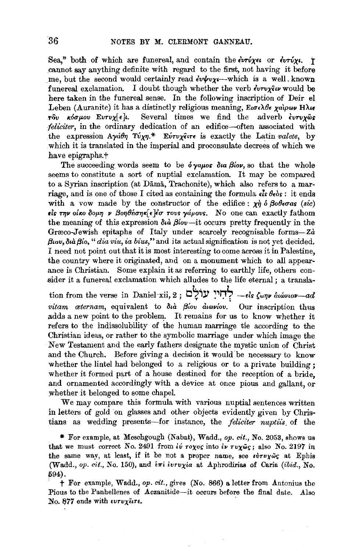Sea," both of which are funereal, and contain the *ivroxu* or *ivroxi*. **I** cannot say anything definite with regard to the first, not having it before me, but the second would certainly read  $\partial \psi \psi \psi$  which is a well. known funereal exclamation. I doubt though whether the verb *lvrvx£w* would be here taken in the funereal sense. In the following inscription of Deir el Leben (Auranite) it has a distinctly religious meaning,  $E \sigma \epsilon \lambda \theta \epsilon$  *xalpov* H $\lambda \epsilon$ *rov koo µov Evrvx*[ $\epsilon$ ]. Several times we find the adverb  $\epsilon$ *urvy* $\omega$ s *feliciter*, in the ordinary dedication of an edifice-often associated with the expression *Αγάθη Τύχη*.\* Εύτυχειτε is exactly the Latin *valete*, by which it is translated in the imperial and proconsulate decrees of which we have epigraphs.<sup>+</sup> the succeeding words seem to be *o yange flig flow* so that the whole.<br>he succeeding words seem to be *o yange flig flow*, so that the whole

The succeeding words seem to be  $\delta$  *yapos*  $\delta$ *ia biov*, so that the whole seems to constitute a sort of nuptial exclamation. It may be compared to a Syrian inscription (at Dāmā, Trachonite), which also refers to a marraction is one of those I cited as containing the formula at *die debs* : it ends<br>age, and is one of the constructor of the edifice: *xi*<sub>2</sub> *A debs* is it ends with a vow made by the constructor of the edifice:  $\chi \dot{\eta}$  *o βoθεσas (sic)*<br>*είs την οίκο δομη ν βοηθήσηκ*[ε]έσ τουs γάμους. No one can exactly fathom the meaning of this expression  $\partial \hat{\mu}$   $\beta$ *lov*—it occurs pretty frequently in the Græco-Jewish epitaphs of Italy under scarcely recognisable forms- $Z\dot{a}$ *fJcov, lJca fJlo, "dia viu, ia bius,"* and its actual signification is not yet decided. I need not point out that it is most interesting to come across it in Palestine, the country where it originated, and on a monument which to all appearance is Christian. Some explain it as referring to earthly life, others conaider it a funereal exclamation which alludes to the life eternal ; a transla-

on from the verse in Daniel·xii, 2;  $\overline{D}$ <sup>2</sup> *Litam aternam*, equivalent to  $\delta u^2$  *f*  $\delta v^2$  *disording*. Our inscription thus design are problem. It remains for us to know whether it adds a new point to the problem. It remains for us to know whether it refers to the indissolubility of the human marriage tie according to the Christian ideas, or rather to the symbolic marriage under which image the New Testament and the early fathers designate the mystic union of Christ and the Church. Before giving a decision it would be necessary to know whether the lintel had belonged to a religious or to a private building; whether it formed part of a house destined for the reception of a bride, and ornamented accordingly with a device at once pious and gallant, or whether it belonged to some chapel.

We may compare this formula with various nuptial sentences written in letters of gold on glasses and other objects evidently given by Christians as wedding presents-for instance, the *feliciter nuptiis.* of the

\* For example, at Meschgough (Nabat), Wadd., *op. cit.*, No. 2053, shows us that we must correct No. 2491 from *iv roxos* into  $i\nu$  rvxws; also No. 2197 in the same way, at least, if it be not a proper name, see  $\epsilon\dot{v}r\nu\chi\ddot{\omega}\varsigma$  at Ephis (Wadd., *op. cit.,* No. 150), and bri *lvrvxia* at Aphrodirias of Caria *(ibid.,* No. 694).

t For example, Wadd., *op. cit.,* gives (No. 866) a letter from Antonius the Pious to the Panhellenes of Aczanitide-it occurs before the final date. Also No. 877 ends with *wrvx*Eire.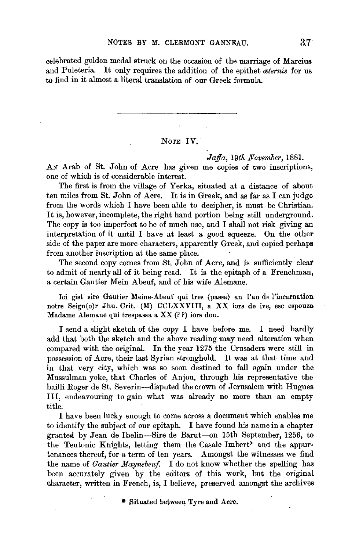celebrated golden medal struck on the occasion of the marriage of Marcius and Puleteria. It only requires the addition of the epithet *aternis* for us to find in it almost a literal translation of our Greek formula.

### NOTE IV.

*Jajfa,* 19th *November,* 1881.

AN Arab of St. John of Acre has given me copies of two inscriptions, one of which is of considerable interest.

The first is from the village of Yerka, situated at a distance of about ten miles from St. John of Acre. It is in Greek, and as far as I can judge from the words which I have been able to decipher, it must be Christian. It is, however, incomplete, the right hand portion being still underground. The copy is too imperfect to be of much use, and I shall not risk giving an interpretation of it until I have at least a good squeeze. On the other side of the paper are more characters, apparently Greek, and copied perhaps from another inscription at the same place.

The second copy comes from St. John of Acre, and is sufficiently clear to admit of nearly all of it being read. It is the epitaph of a Frenchman, a certain Gautier Mein Abeuf, and of his wife Alemane.

Ici gist sire Gautier Meine-Abeuf qui tres (passa) an l'an de l'incarnation notre Seign(o)r Jhu. Crit. (M) COLXXVIII, a XX iors de ive, esc espouza Madame Alemane qui trespassa a XX (? ?) iors dou.

I send a slight sketch of the copy I have before me. I need hardly add that both the sketch and the above reading may need alteration when compared with the original. In the year 1275 the Crusaders were still in possession of Acre, their last Syrian stronghold. It was at that time and in that very city, which was so soon destined to fall again under the Mussulman yoke, that Charles of Anjou, through his representative the bailli Roger de St. Severin-disputed the crown of Jerusalem with Hugues !If, endeavouring to gain what was already no more than an empty title.

I have been lucky enough to come across a document which enables me to identify the subject of our epitaph. I have found his name in a chapter grantea by Jean de Ihelin-Sire de Barut-on 15th September, 1256, to the Teutonic Knights, letting them the Casale Imbert\* and the appur· tenances thereof, for a term of ten years. Amongst the witnesses we find the name of *Gautier Maynebeuf.* I do not know whether the spelling has been accurately given by the editors of this work, but the original character, written in French, is, I believe, preserved amongst the archives

\* Situated between Tyre and Acre.